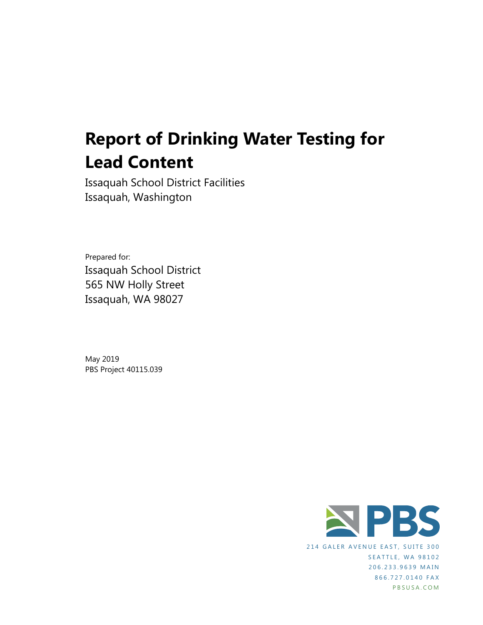# **Report of Drinking Water Testing for Lead Content**

Issaquah School District Facilities Issaquah, Washington

Prepared for: Issaquah School District 565 NW Holly Street Issaquah, WA 98027

May 2019 PBS Project 40115.039



214 GALER AVENUE EAST, SUITE 300 SEATTLE, WA 98102 206.233.9639 MAIN 866.727.0140 FAX PBS USA .COM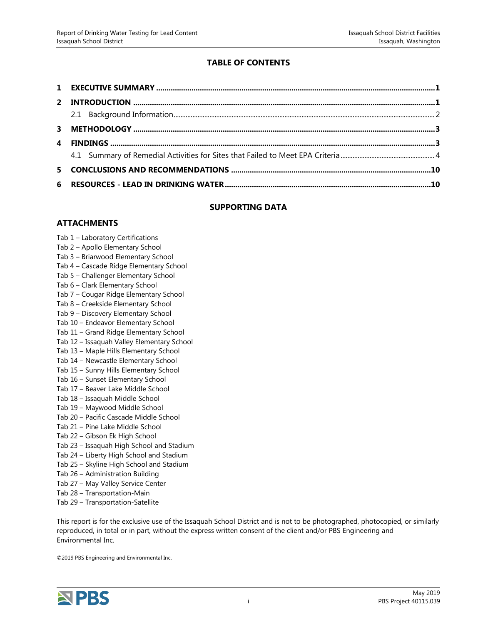#### **TABLE OF CONTENTS**

#### **SUPPORTING DATA**

#### **ATTACHMENTS**

- Tab 1 Laboratory Certifications
- Tab 2 Apollo Elementary School
- Tab 3 Briarwood Elementary School
- Tab 4 Cascade Ridge Elementary School
- Tab 5 Challenger Elementary School
- Tab 6 Clark Elementary School
- Tab 7 Cougar Ridge Elementary School
- Tab 8 Creekside Elementary School
- Tab 9 Discovery Elementary School
- Tab 10 Endeavor Elementary School
- Tab 11 Grand Ridge Elementary School
- Tab 12 Issaquah Valley Elementary School
- Tab 13 Maple Hills Elementary School
- Tab 14 Newcastle Elementary School
- Tab 15 Sunny Hills Elementary School
- Tab 16 Sunset Elementary School
- Tab 17 Beaver Lake Middle School
- Tab 18 Issaquah Middle School
- Tab 19 Maywood Middle School
- Tab 20 Pacific Cascade Middle School
- Tab 21 Pine Lake Middle School
- Tab 22 Gibson Ek High School
- Tab 23 Issaquah High School and Stadium
- Tab 24 Liberty High School and Stadium
- Tab 25 Skyline High School and Stadium
- Tab 26 Administration Building
- Tab 27 May Valley Service Center
- Tab 28 Transportation-Main
- Tab 29 Transportation-Satellite

This report is for the exclusive use of the Issaquah School District and is not to be photographed, photocopied, or similarly reproduced, in total or in part, without the express written consent of the client and/or PBS Engineering and Environmental Inc.

©2019 PBS Engineering and Environmental Inc.

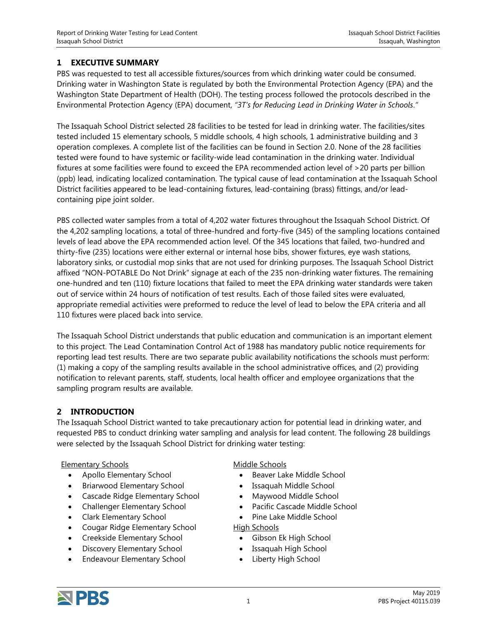#### <span id="page-2-0"></span>**1 EXECUTIVE SUMMARY**

PBS was requested to test all accessible fixtures/sources from which drinking water could be consumed. Drinking water in Washington State is regulated by both the Environmental Protection Agency (EPA) and the Washington State Department of Health (DOH). The testing process followed the protocols described in the Environmental Protection Agency (EPA) document, *"3T's for Reducing Lead in Drinking Water in Schools*.*"*

The Issaquah School District selected 28 facilities to be tested for lead in drinking water. The facilities/sites tested included 15 elementary schools, 5 middle schools, 4 high schools, 1 administrative building and 3 operation complexes. A complete list of the facilities can be found in Section 2.0. None of the 28 facilities tested were found to have systemic or facility-wide lead contamination in the drinking water. Individual fixtures at some facilities were found to exceed the EPA recommended action level of >20 parts per billion (ppb) lead, indicating localized contamination. The typical cause of lead contamination at the Issaquah School District facilities appeared to be lead-containing fixtures, lead-containing (brass) fittings, and/or leadcontaining pipe joint solder.

PBS collected water samples from a total of 4,202 water fixtures throughout the Issaquah School District. Of the 4,202 sampling locations, a total of three-hundred and forty-five (345) of the sampling locations contained levels of lead above the EPA recommended action level. Of the 345 locations that failed, two-hundred and thirty-five (235) locations were either external or internal hose bibs, shower fixtures, eye wash stations, laboratory sinks, or custodial mop sinks that are not used for drinking purposes. The Issaquah School District affixed "NON-POTABLE Do Not Drink" signage at each of the 235 non-drinking water fixtures. The remaining one-hundred and ten (110) fixture locations that failed to meet the EPA drinking water standards were taken out of service within 24 hours of notification of test results. Each of those failed sites were evaluated, appropriate remedial activities were preformed to reduce the level of lead to below the EPA criteria and all 110 fixtures were placed back into service.

The Issaquah School District understands that public education and communication is an important element to this project. The Lead Contamination Control Act of 1988 has mandatory public notice requirements for reporting lead test results. There are two separate public availability notifications the schools must perform: (1) making a copy of the sampling results available in the school administrative offices, and (2) providing notification to relevant parents, staff, students, local health officer and employee organizations that the sampling program results are available.

#### <span id="page-2-1"></span>**2 INTRODUCTION**

The Issaquah School District wanted to take precautionary action for potential lead in drinking water, and requested PBS to conduct drinking water sampling and analysis for lead content. The following 28 buildings were selected by the Issaquah School District for drinking water testing:

#### Elementary Schools

- Apollo Elementary School
- Briarwood Elementary School
- Cascade Ridge Elementary School
- Challenger Elementary School
- Clark Elementary School
- Cougar Ridge Elementary School
- Creekside Elementary School
- Discovery Elementary School
- Endeavour Elementary School

#### Middle Schools

- Beaver Lake Middle School
- Issaquah Middle School
- Maywood Middle School
- Pacific Cascade Middle School
- Pine Lake Middle School

#### High Schools

- Gibson Ek High School
- Issaquah High School
- Liberty High School

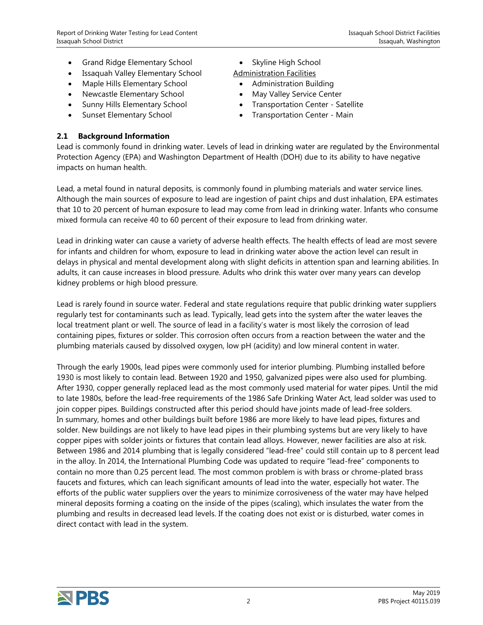- Grand Ridge Elementary School
- Issaquah Valley Elementary School
- Maple Hills Elementary School
- Newcastle Elementary School
- Sunny Hills Elementary School
- Sunset Elementary School

### • Skyline High School

- Administration Facilities
	- Administration Building • May Valley Service Center
- Transportation Center Satellite
- Transportation Center Main

#### <span id="page-3-0"></span>**2.1 Background Information**

Lead is commonly found in drinking water. Levels of lead in drinking water are regulated by the Environmental Protection Agency (EPA) and Washington Department of Health (DOH) due to its ability to have negative impacts on human health.

Lead, a metal found in natural deposits, is commonly found in plumbing materials and water service lines. Although the main sources of exposure to lead are ingestion of paint chips and dust inhalation, EPA estimates that 10 to 20 percent of human exposure to lead may come from lead in drinking water. Infants who consume mixed formula can receive 40 to 60 percent of their exposure to lead from drinking water.

Lead in drinking water can cause a variety of adverse health effects. The health effects of lead are most severe for infants and children for whom, exposure to lead in drinking water above the action level can result in delays in physical and mental development along with slight deficits in attention span and learning abilities. In adults, it can cause increases in blood pressure. Adults who drink this water over many years can develop kidney problems or high blood pressure.

Lead is rarely found in source water. Federal and state regulations require that public drinking water suppliers regularly test for contaminants such as lead. Typically, lead gets into the system after the water leaves the local treatment plant or well. The source of lead in a facility's water is most likely the corrosion of lead containing pipes, fixtures or solder. This corrosion often occurs from a reaction between the water and the plumbing materials caused by dissolved oxygen, low pH (acidity) and low mineral content in water.

Through the early 1900s, lead pipes were commonly used for interior plumbing. Plumbing installed before 1930 is most likely to contain lead. Between 1920 and 1950, galvanized pipes were also used for plumbing. After 1930, copper generally replaced lead as the most commonly used material for water pipes. Until the mid to late 1980s, before the lead-free requirements of the 1986 Safe Drinking Water Act, lead solder was used to join copper pipes. Buildings constructed after this period should have joints made of lead-free solders. In summary, homes and other buildings built before 1986 are more likely to have lead pipes, fixtures and solder. New buildings are not likely to have lead pipes in their plumbing systems but are very likely to have copper pipes with solder joints or fixtures that contain lead alloys. However, newer facilities are also at risk. Between 1986 and 2014 plumbing that is legally considered "lead-free" could still contain up to 8 percent lead in the alloy. In 2014, the International Plumbing Code was updated to require "lead-free" components to contain no more than 0.25 percent lead. The most common problem is with brass or chrome-plated brass faucets and fixtures, which can leach significant amounts of lead into the water, especially hot water. The efforts of the public water suppliers over the years to minimize corrosiveness of the water may have helped mineral deposits forming a coating on the inside of the pipes (scaling), which insulates the water from the plumbing and results in decreased lead levels. If the coating does not exist or is disturbed, water comes in direct contact with lead in the system.

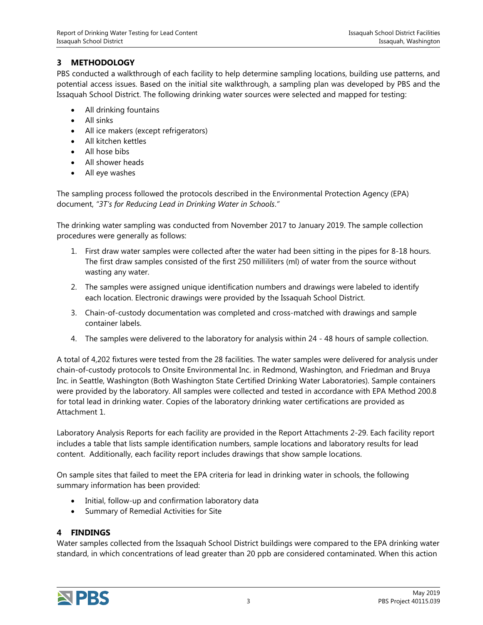#### <span id="page-4-0"></span>**3 METHODOLOGY**

PBS conducted a walkthrough of each facility to help determine sampling locations, building use patterns, and potential access issues. Based on the initial site walkthrough, a sampling plan was developed by PBS and the Issaquah School District. The following drinking water sources were selected and mapped for testing:

- All drinking fountains
- All sinks
- All ice makers (except refrigerators)
- All kitchen kettles
- All hose bibs
- All shower heads
- All eye washes

The sampling process followed the protocols described in the Environmental Protection Agency (EPA) document, *"3T's for Reducing Lead in Drinking Water in Schools*.*"*

The drinking water sampling was conducted from November 2017 to January 2019. The sample collection procedures were generally as follows:

- 1. First draw water samples were collected after the water had been sitting in the pipes for 8-18 hours. The first draw samples consisted of the first 250 milliliters (ml) of water from the source without wasting any water.
- 2. The samples were assigned unique identification numbers and drawings were labeled to identify each location. Electronic drawings were provided by the Issaquah School District.
- 3. Chain-of-custody documentation was completed and cross-matched with drawings and sample container labels.
- 4. The samples were delivered to the laboratory for analysis within 24 48 hours of sample collection.

A total of 4,202 fixtures were tested from the 28 facilities. The water samples were delivered for analysis under chain-of-custody protocols to Onsite Environmental Inc. in Redmond, Washington, and Friedman and Bruya Inc. in Seattle, Washington (Both Washington State Certified Drinking Water Laboratories). Sample containers were provided by the laboratory. All samples were collected and tested in accordance with EPA Method 200.8 for total lead in drinking water. Copies of the laboratory drinking water certifications are provided as Attachment 1.

Laboratory Analysis Reports for each facility are provided in the Report Attachments 2-29. Each facility report includes a table that lists sample identification numbers, sample locations and laboratory results for lead content. Additionally, each facility report includes drawings that show sample locations.

On sample sites that failed to meet the EPA criteria for lead in drinking water in schools, the following summary information has been provided:

- Initial, follow-up and confirmation laboratory data
- Summary of Remedial Activities for Site

#### <span id="page-4-1"></span>**4 FINDINGS**

Water samples collected from the Issaquah School District buildings were compared to the EPA drinking water standard, in which concentrations of lead greater than 20 ppb are considered contaminated. When this action

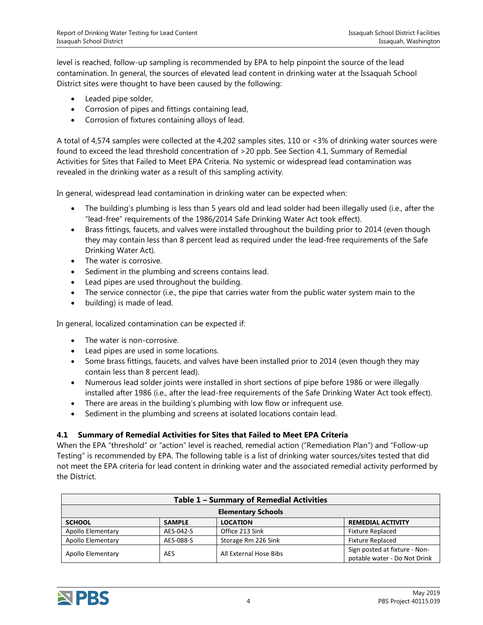level is reached, follow-up sampling is recommended by EPA to help pinpoint the source of the lead contamination. In general, the sources of elevated lead content in drinking water at the Issaquah School District sites were thought to have been caused by the following:

- Leaded pipe solder,
- Corrosion of pipes and fittings containing lead,
- Corrosion of fixtures containing alloys of lead.

A total of 4,574 samples were collected at the 4,202 samples sites, 110 or <3% of drinking water sources were found to exceed the lead threshold concentration of >20 ppb. See Section 4.1, Summary of Remedial Activities for Sites that Failed to Meet EPA Criteria. No systemic or widespread lead contamination was revealed in the drinking water as a result of this sampling activity.

In general, widespread lead contamination in drinking water can be expected when:

- The building's plumbing is less than 5 years old and lead solder had been illegally used (i.e., after the "lead-free" requirements of the 1986/2014 Safe Drinking Water Act took effect).
- Brass fittings, faucets, and valves were installed throughout the building prior to 2014 (even though they may contain less than 8 percent lead as required under the lead-free requirements of the Safe Drinking Water Act).
- The water is corrosive.
- Sediment in the plumbing and screens contains lead.
- Lead pipes are used throughout the building.
- The service connector (i.e., the pipe that carries water from the public water system main to the
- building) is made of lead.

In general, localized contamination can be expected if:

- The water is non-corrosive.
- Lead pipes are used in some locations.
- Some brass fittings, faucets, and valves have been installed prior to 2014 (even though they may contain less than 8 percent lead).
- Numerous lead solder joints were installed in short sections of pipe before 1986 or were illegally installed after 1986 (i.e., after the lead-free requirements of the Safe Drinking Water Act took effect).
- There are areas in the building's plumbing with low flow or infrequent use.
- Sediment in the plumbing and screens at isolated locations contain lead.

#### <span id="page-5-0"></span>**4.1 Summary of Remedial Activities for Sites that Failed to Meet EPA Criteria**

When the EPA "threshold" or "action" level is reached, remedial action ("Remediation Plan") and "Follow-up Testing" is recommended by EPA. The following table is a list of drinking water sources/sites tested that did not meet the EPA criteria for lead content in drinking water and the associated remedial activity performed by the District.

| Table 1 - Summary of Remedial Activities |                           |                        |                                                               |  |
|------------------------------------------|---------------------------|------------------------|---------------------------------------------------------------|--|
|                                          | <b>Elementary Schools</b> |                        |                                                               |  |
| <b>SCHOOL</b>                            | <b>SAMPLE</b>             | <b>LOCATION</b>        | <b>REMEDIAL ACTIVITY</b>                                      |  |
| Apollo Elementary                        | AES-042-S                 | Office 213 Sink        | <b>Fixture Replaced</b>                                       |  |
| Apollo Elementary                        | AES-088-S                 | Storage Rm 226 Sink    | <b>Fixture Replaced</b>                                       |  |
| Apollo Elementary                        | AES                       | All External Hose Bibs | Sign posted at fixture - Non-<br>potable water - Do Not Drink |  |

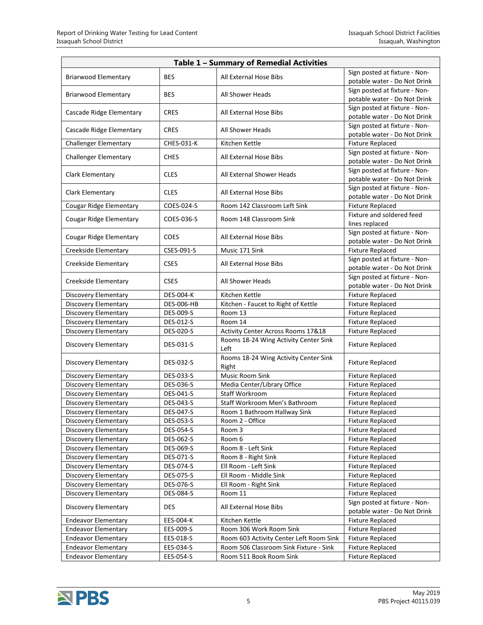| Table 1 - Summary of Remedial Activities |                        |                                                |                                                               |  |
|------------------------------------------|------------------------|------------------------------------------------|---------------------------------------------------------------|--|
| <b>Briarwood Elementary</b>              | <b>BES</b>             | All External Hose Bibs                         | Sign posted at fixture - Non-                                 |  |
|                                          |                        |                                                | potable water - Do Not Drink                                  |  |
| <b>Briarwood Elementary</b>              | <b>BES</b>             | All Shower Heads                               | Sign posted at fixture - Non-                                 |  |
|                                          |                        |                                                | potable water - Do Not Drink                                  |  |
| Cascade Ridge Elementary                 | <b>CRES</b>            | All External Hose Bibs                         | Sign posted at fixture - Non-                                 |  |
|                                          |                        |                                                | potable water - Do Not Drink                                  |  |
| Cascade Ridge Elementary                 | <b>CRES</b>            | All Shower Heads                               | Sign posted at fixture - Non-<br>potable water - Do Not Drink |  |
| <b>Challenger Elementary</b>             | CHES-031-K             | Kitchen Kettle                                 | <b>Fixture Replaced</b>                                       |  |
|                                          |                        |                                                | Sign posted at fixture - Non-                                 |  |
| <b>Challenger Elementary</b>             | <b>CHES</b>            | All External Hose Bibs                         | potable water - Do Not Drink                                  |  |
|                                          |                        |                                                | Sign posted at fixture - Non-                                 |  |
| Clark Elementary                         | <b>CLES</b>            | All External Shower Heads                      | potable water - Do Not Drink                                  |  |
| Clark Elementary                         | <b>CLES</b>            | All External Hose Bibs                         | Sign posted at fixture - Non-                                 |  |
|                                          |                        |                                                | potable water - Do Not Drink                                  |  |
| Cougar Ridge Elementary                  | COES-024-S             | Room 142 Classroom Left Sink                   | <b>Fixture Replaced</b>                                       |  |
| <b>Cougar Ridge Elementary</b>           | COES-036-S             | Room 148 Classroom Sink                        | Fixture and soldered feed                                     |  |
|                                          |                        |                                                | lines replaced                                                |  |
| <b>Cougar Ridge Elementary</b>           | <b>COES</b>            | All External Hose Bibs                         | Sign posted at fixture - Non-<br>potable water - Do Not Drink |  |
| Creekside Elementary                     | CSES-091-S             | Music 171 Sink                                 | <b>Fixture Replaced</b>                                       |  |
|                                          |                        |                                                | Sign posted at fixture - Non-                                 |  |
| Creekside Elementary                     | <b>CSES</b>            | All External Hose Bibs                         | potable water - Do Not Drink                                  |  |
|                                          |                        |                                                | Sign posted at fixture - Non-                                 |  |
| Creekside Elementary                     | <b>CSES</b>            | All Shower Heads                               | potable water - Do Not Drink                                  |  |
| Discovery Elementary                     | <b>DES-004-K</b>       | Kitchen Kettle                                 | <b>Fixture Replaced</b>                                       |  |
| Discovery Elementary                     | <b>DES-006-HB</b>      | Kitchen - Faucet to Right of Kettle            | <b>Fixture Replaced</b>                                       |  |
| <b>Discovery Elementary</b>              | DES-009-S              | Room 13                                        | <b>Fixture Replaced</b>                                       |  |
| <b>Discovery Elementary</b>              | DES-012-S              | Room 14                                        | <b>Fixture Replaced</b>                                       |  |
| Discovery Elementary                     | <b>DES-020-S</b>       | Activity Center Across Rooms 17&18             | <b>Fixture Replaced</b>                                       |  |
| <b>Discovery Elementary</b>              | DES-031-S              | Rooms 18-24 Wing Activity Center Sink<br>Left  | <b>Fixture Replaced</b>                                       |  |
| <b>Discovery Elementary</b>              | DES-032-S              | Rooms 18-24 Wing Activity Center Sink<br>Right | <b>Fixture Replaced</b>                                       |  |
| <b>Discovery Elementary</b>              | DES-033-S              | Music Room Sink                                | <b>Fixture Replaced</b>                                       |  |
| Discovery Elementary                     | DES-036-S              | Media Center/Library Office                    | <b>Fixture Replaced</b>                                       |  |
| Discovery Elementary                     | <b>DES-041-S</b>       | Staff Workroom                                 | <b>Fixture Replaced</b>                                       |  |
| Discovery Elementary                     | DES-043-S              | Staff Workroom Men's Bathroom                  | <b>Fixture Replaced</b>                                       |  |
| Discovery Elementary                     | <b>DES-047-S</b>       | Room 1 Bathroom Hallway Sink                   | Fixture Replaced                                              |  |
| Discovery Elementary                     | DES-053-S              | Room 2 - Office                                | <b>Fixture Replaced</b>                                       |  |
| Discovery Elementary                     | DES-054-S              | Room 3                                         | <b>Fixture Replaced</b>                                       |  |
| Discovery Elementary                     | DES-062-S              | Room 6                                         | <b>Fixture Replaced</b>                                       |  |
| Discovery Elementary                     | DES-069-S              | Room 8 - Left Sink                             | <b>Fixture Replaced</b>                                       |  |
| Discovery Elementary                     | DES-071-S              | Room 8 - Right Sink                            | <b>Fixture Replaced</b>                                       |  |
| <b>Discovery Elementary</b>              | DES-074-S              | Ell Room - Left Sink                           | <b>Fixture Replaced</b>                                       |  |
| Discovery Elementary                     | DES-075-S              | Ell Room - Middle Sink                         | <b>Fixture Replaced</b>                                       |  |
| Discovery Elementary                     | DES-076-S<br>DES-084-S | Ell Room - Right Sink<br>Room 11               | <b>Fixture Replaced</b><br><b>Fixture Replaced</b>            |  |
| Discovery Elementary                     |                        |                                                | Sign posted at fixture - Non-                                 |  |
| <b>Discovery Elementary</b>              | <b>DES</b>             | All External Hose Bibs                         | potable water - Do Not Drink                                  |  |
| <b>Endeavor Elementary</b>               | EES-004-K              | Kitchen Kettle                                 | <b>Fixture Replaced</b>                                       |  |
| <b>Endeavor Elementary</b>               | EES-009-S              | Room 306 Work Room Sink                        | <b>Fixture Replaced</b>                                       |  |
| <b>Endeavor Elementary</b>               | EES-018-S              | Room 603 Activity Center Left Room Sink        | <b>Fixture Replaced</b>                                       |  |
| <b>Endeavor Elementary</b>               | EES-034-S              | Room 506 Classroom Sink Fixture - Sink         | <b>Fixture Replaced</b>                                       |  |
| <b>Endeavor Elementary</b>               | EES-054-S              | Room 511 Book Room Sink                        | <b>Fixture Replaced</b>                                       |  |

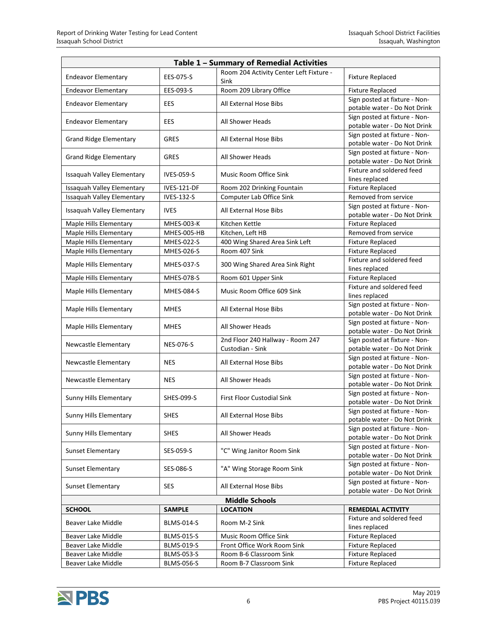| Table 1 - Summary of Remedial Activities |                   |                                                      |                                                               |  |
|------------------------------------------|-------------------|------------------------------------------------------|---------------------------------------------------------------|--|
| <b>Endeavor Elementary</b>               | EES-075-S         | Room 204 Activity Center Left Fixture -<br>Sink      | <b>Fixture Replaced</b>                                       |  |
| <b>Endeavor Elementary</b>               | EES-093-S         | Room 209 Library Office                              | <b>Fixture Replaced</b>                                       |  |
| <b>Endeavor Elementary</b>               | EES.              | All External Hose Bibs                               | Sign posted at fixture - Non-<br>potable water - Do Not Drink |  |
| <b>Endeavor Elementary</b>               | EES               | All Shower Heads                                     | Sign posted at fixture - Non-<br>potable water - Do Not Drink |  |
| <b>Grand Ridge Elementary</b>            | <b>GRES</b>       | All External Hose Bibs                               | Sign posted at fixture - Non-<br>potable water - Do Not Drink |  |
| <b>Grand Ridge Elementary</b>            | <b>GRES</b>       | All Shower Heads                                     | Sign posted at fixture - Non-<br>potable water - Do Not Drink |  |
| Issaquah Valley Elementary               | <b>IVES-059-S</b> | Music Room Office Sink                               | Fixture and soldered feed<br>lines replaced                   |  |
| Issaquah Valley Elementary               | IVES-121-DF       | Room 202 Drinking Fountain                           | <b>Fixture Replaced</b>                                       |  |
| Issaquah Valley Elementary               | IVES-132-S        | Computer Lab Office Sink                             | Removed from service                                          |  |
| Issaquah Valley Elementary               | <b>IVES</b>       | All External Hose Bibs                               | Sign posted at fixture - Non-<br>potable water - Do Not Drink |  |
| Maple Hills Elementary                   | <b>MHES-003-K</b> | Kitchen Kettle                                       | <b>Fixture Replaced</b>                                       |  |
| Maple Hills Elementary                   | MHES-005-HB       | Kitchen, Left HB                                     | Removed from service                                          |  |
| Maple Hills Elementary                   | MHES-022-S        | 400 Wing Shared Area Sink Left                       | <b>Fixture Replaced</b>                                       |  |
| Maple Hills Elementary                   | MHES-026-S        | Room 407 Sink                                        | <b>Fixture Replaced</b>                                       |  |
| Maple Hills Elementary                   | MHES-037-S        | 300 Wing Shared Area Sink Right                      | Fixture and soldered feed<br>lines replaced                   |  |
| Maple Hills Elementary                   | MHES-078-S        | Room 601 Upper Sink                                  | <b>Fixture Replaced</b>                                       |  |
| Maple Hills Elementary                   | <b>MHES-084-S</b> | Music Room Office 609 Sink                           | Fixture and soldered feed<br>lines replaced                   |  |
| Maple Hills Elementary                   | <b>MHES</b>       | All External Hose Bibs                               | Sign posted at fixture - Non-<br>potable water - Do Not Drink |  |
| Maple Hills Elementary                   | <b>MHES</b>       | All Shower Heads                                     | Sign posted at fixture - Non-<br>potable water - Do Not Drink |  |
| Newcastle Elementary                     | <b>NES-076-S</b>  | 2nd Floor 240 Hallway - Room 247<br>Custodian - Sink | Sign posted at fixture - Non-<br>potable water - Do Not Drink |  |
| Newcastle Elementary                     | <b>NES</b>        | All External Hose Bibs                               | Sign posted at fixture - Non-<br>potable water - Do Not Drink |  |
| Newcastle Elementary                     | <b>NES</b>        | All Shower Heads                                     | Sign posted at fixture - Non-<br>potable water - Do Not Drink |  |
| Sunny Hills Elementary                   | SHES-099-S        | <b>First Floor Custodial Sink</b>                    | Sign posted at fixture - Non-<br>potable water - Do Not Drink |  |
| Sunny Hills Elementary                   | <b>SHES</b>       | All External Hose Bibs                               | Sign posted at fixture - Non-<br>potable water - Do Not Drink |  |
| Sunny Hills Elementary                   | <b>SHES</b>       | All Shower Heads                                     | Sign posted at fixture - Non-<br>potable water - Do Not Drink |  |
| <b>Sunset Elementary</b>                 | SES-059-S         | "C" Wing Janitor Room Sink                           | Sign posted at fixture - Non-<br>potable water - Do Not Drink |  |
| <b>Sunset Elementary</b>                 | SES-086-S         | "A" Wing Storage Room Sink                           | Sign posted at fixture - Non-<br>potable water - Do Not Drink |  |
| <b>Sunset Elementary</b>                 | <b>SES</b>        | All External Hose Bibs                               | Sign posted at fixture - Non-<br>potable water - Do Not Drink |  |
| <b>Middle Schools</b>                    |                   |                                                      |                                                               |  |
| <b>SCHOOL</b>                            | <b>SAMPLE</b>     | <b>LOCATION</b>                                      | <b>REMEDIAL ACTIVITY</b>                                      |  |
| Beaver Lake Middle                       | <b>BLMS-014-S</b> | Room M-2 Sink                                        | Fixture and soldered feed<br>lines replaced                   |  |
| Beaver Lake Middle                       | <b>BLMS-015-S</b> | Music Room Office Sink                               | <b>Fixture Replaced</b>                                       |  |
| Beaver Lake Middle                       | <b>BLMS-019-S</b> | Front Office Work Room Sink                          | <b>Fixture Replaced</b>                                       |  |
| Beaver Lake Middle                       | <b>BLMS-053-S</b> | Room B-6 Classroom Sink                              | <b>Fixture Replaced</b>                                       |  |
| Beaver Lake Middle                       | <b>BLMS-056-S</b> | Room B-7 Classroom Sink                              | <b>Fixture Replaced</b>                                       |  |

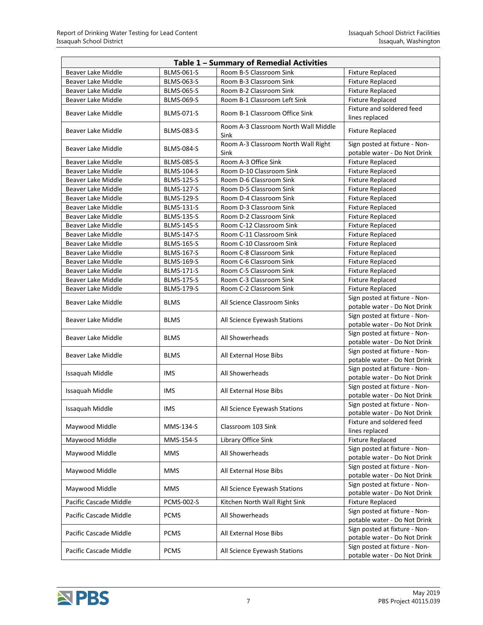| Table 1 - Summary of Remedial Activities |                   |                                              |                                                               |  |
|------------------------------------------|-------------------|----------------------------------------------|---------------------------------------------------------------|--|
| Beaver Lake Middle                       | <b>BLMS-061-S</b> | Room B-5 Classroom Sink                      | <b>Fixture Replaced</b>                                       |  |
| Beaver Lake Middle                       | <b>BLMS-063-S</b> | Room B-3 Classroom Sink                      | <b>Fixture Replaced</b>                                       |  |
| Beaver Lake Middle                       | <b>BLMS-065-S</b> | Room B-2 Classroom Sink                      | <b>Fixture Replaced</b>                                       |  |
| Beaver Lake Middle                       | <b>BLMS-069-S</b> | Room B-1 Classroom Left Sink                 | <b>Fixture Replaced</b>                                       |  |
|                                          |                   |                                              | Fixture and soldered feed                                     |  |
| Beaver Lake Middle                       | <b>BLMS-071-S</b> | Room B-1 Classroom Office Sink               | lines replaced                                                |  |
| Beaver Lake Middle                       | <b>BLMS-083-S</b> | Room A-3 Classroom North Wall Middle<br>Sink | <b>Fixture Replaced</b>                                       |  |
| Beaver Lake Middle                       | <b>BLMS-084-S</b> | Room A-3 Classroom North Wall Right<br>Sink  | Sign posted at fixture - Non-<br>potable water - Do Not Drink |  |
| Beaver Lake Middle                       | <b>BLMS-085-S</b> | Room A-3 Office Sink                         | <b>Fixture Replaced</b>                                       |  |
| Beaver Lake Middle                       | <b>BLMS-104-S</b> | Room D-10 Classroom Sink                     | <b>Fixture Replaced</b>                                       |  |
| Beaver Lake Middle                       | <b>BLMS-125-S</b> | Room D-6 Classroom Sink                      | <b>Fixture Replaced</b>                                       |  |
| Beaver Lake Middle                       | <b>BLMS-127-S</b> | Room D-5 Classroom Sink                      | <b>Fixture Replaced</b>                                       |  |
| Beaver Lake Middle                       | <b>BLMS-129-S</b> | Room D-4 Classroom Sink                      | <b>Fixture Replaced</b>                                       |  |
| Beaver Lake Middle                       | <b>BLMS-131-S</b> | Room D-3 Classroom Sink                      | <b>Fixture Replaced</b>                                       |  |
| Beaver Lake Middle                       | <b>BLMS-135-S</b> | Room D-2 Classroom Sink                      | <b>Fixture Replaced</b>                                       |  |
| Beaver Lake Middle                       | <b>BLMS-145-S</b> | Room C-12 Classroom Sink                     | <b>Fixture Replaced</b>                                       |  |
| Beaver Lake Middle                       | <b>BLMS-147-S</b> | Room C-11 Classroom Sink                     | <b>Fixture Replaced</b>                                       |  |
| Beaver Lake Middle                       | <b>BLMS-165-S</b> | Room C-10 Classroom Sink                     | <b>Fixture Replaced</b>                                       |  |
| Beaver Lake Middle                       | <b>BLMS-167-S</b> | Room C-8 Classroom Sink                      | <b>Fixture Replaced</b>                                       |  |
| Beaver Lake Middle                       | <b>BLMS-169-S</b> | Room C-6 Classroom Sink                      | <b>Fixture Replaced</b>                                       |  |
| Beaver Lake Middle                       | <b>BLMS-171-S</b> | Room C-5 Classroom Sink                      | <b>Fixture Replaced</b>                                       |  |
| Beaver Lake Middle                       | <b>BLMS-175-S</b> | Room C-3 Classroom Sink                      | <b>Fixture Replaced</b>                                       |  |
| Beaver Lake Middle                       | <b>BLMS-179-S</b> | Room C-2 Classroom Sink                      | <b>Fixture Replaced</b>                                       |  |
|                                          |                   |                                              | Sign posted at fixture - Non-                                 |  |
| Beaver Lake Middle                       | <b>BLMS</b>       | All Science Classroom Sinks                  | potable water - Do Not Drink                                  |  |
| <b>Beaver Lake Middle</b>                | <b>BLMS</b>       | All Science Eyewash Stations                 | Sign posted at fixture - Non-<br>potable water - Do Not Drink |  |
| Beaver Lake Middle                       | <b>BLMS</b>       | All Showerheads                              | Sign posted at fixture - Non-<br>potable water - Do Not Drink |  |
| Beaver Lake Middle                       | <b>BLMS</b>       | All External Hose Bibs                       | Sign posted at fixture - Non-<br>potable water - Do Not Drink |  |
| Issaquah Middle                          | <b>IMS</b>        | All Showerheads                              | Sign posted at fixture - Non-<br>potable water - Do Not Drink |  |
| Issaquah Middle                          | <b>IMS</b>        | All External Hose Bibs                       | Sign posted at fixture - Non-<br>potable water - Do Not Drink |  |
| Issaquah Middle                          | <b>IMS</b>        | All Science Eyewash Stations                 | Sign posted at fixture - Non-<br>potable water - Do Not Drink |  |
| Maywood Middle                           | MMS-134-S         | Classroom 103 Sink                           | Fixture and soldered feed                                     |  |
| Maywood Middle                           | MMS-154-S         | Library Office Sink                          | lines replaced                                                |  |
|                                          |                   |                                              | <b>Fixture Replaced</b><br>Sign posted at fixture - Non-      |  |
| Maywood Middle                           | <b>MMS</b>        | All Showerheads                              | potable water - Do Not Drink                                  |  |
| Maywood Middle                           | <b>MMS</b>        | All External Hose Bibs                       | Sign posted at fixture - Non-<br>potable water - Do Not Drink |  |
| Maywood Middle                           | <b>MMS</b>        | All Science Eyewash Stations                 | Sign posted at fixture - Non-<br>potable water - Do Not Drink |  |
| Pacific Cascade Middle                   | PCMS-002-S        | Kitchen North Wall Right Sink                | <b>Fixture Replaced</b>                                       |  |
| Pacific Cascade Middle                   | <b>PCMS</b>       | All Showerheads                              | Sign posted at fixture - Non-<br>potable water - Do Not Drink |  |
| Pacific Cascade Middle                   | <b>PCMS</b>       | All External Hose Bibs                       | Sign posted at fixture - Non-                                 |  |
| Pacific Cascade Middle                   | <b>PCMS</b>       | All Science Eyewash Stations                 | potable water - Do Not Drink<br>Sign posted at fixture - Non- |  |
|                                          |                   |                                              | potable water - Do Not Drink                                  |  |

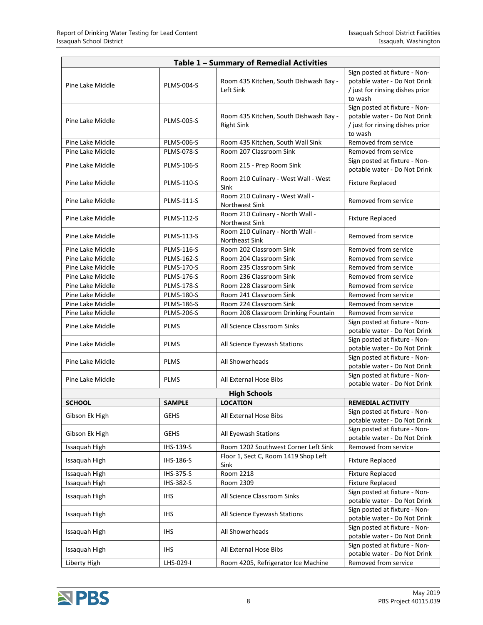| Table 1 - Summary of Remedial Activities |                   |                                                             |                                                                                                             |  |  |
|------------------------------------------|-------------------|-------------------------------------------------------------|-------------------------------------------------------------------------------------------------------------|--|--|
| Pine Lake Middle                         | <b>PLMS-004-S</b> | Room 435 Kitchen, South Dishwash Bay -<br>Left Sink         | Sign posted at fixture - Non-<br>potable water - Do Not Drink<br>/ just for rinsing dishes prior<br>to wash |  |  |
| Pine Lake Middle                         | <b>PLMS-005-S</b> | Room 435 Kitchen, South Dishwash Bay -<br><b>Right Sink</b> | Sign posted at fixture - Non-<br>potable water - Do Not Drink<br>/ just for rinsing dishes prior<br>to wash |  |  |
| Pine Lake Middle                         | <b>PLMS-006-S</b> | Room 435 Kitchen, South Wall Sink                           | Removed from service                                                                                        |  |  |
| Pine Lake Middle                         | <b>PLMS-078-S</b> | Room 207 Classroom Sink                                     | Removed from service                                                                                        |  |  |
| Pine Lake Middle                         | <b>PLMS-106-S</b> | Room 215 - Prep Room Sink                                   | Sign posted at fixture - Non-<br>potable water - Do Not Drink                                               |  |  |
| Pine Lake Middle                         | <b>PLMS-110-S</b> | Room 210 Culinary - West Wall - West<br>Sink                | <b>Fixture Replaced</b>                                                                                     |  |  |
| Pine Lake Middle                         | <b>PLMS-111-S</b> | Room 210 Culinary - West Wall -<br>Northwest Sink           | Removed from service                                                                                        |  |  |
| Pine Lake Middle                         | <b>PLMS-112-S</b> | Room 210 Culinary - North Wall -<br>Northwest Sink          | <b>Fixture Replaced</b>                                                                                     |  |  |
| Pine Lake Middle                         | <b>PLMS-113-S</b> | Room 210 Culinary - North Wall -<br>Northeast Sink          | Removed from service                                                                                        |  |  |
| Pine Lake Middle                         | <b>PLMS-116-S</b> | Room 202 Classroom Sink                                     | Removed from service                                                                                        |  |  |
| Pine Lake Middle                         | <b>PLMS-162-S</b> | Room 204 Classroom Sink                                     | Removed from service                                                                                        |  |  |
| Pine Lake Middle                         | <b>PLMS-170-S</b> | Room 235 Classroom Sink                                     | Removed from service                                                                                        |  |  |
| Pine Lake Middle                         | <b>PLMS-176-S</b> | Room 236 Classroom Sink                                     | Removed from service                                                                                        |  |  |
| Pine Lake Middle                         | <b>PLMS-178-S</b> | Room 228 Classroom Sink                                     | Removed from service                                                                                        |  |  |
| Pine Lake Middle                         | <b>PLMS-180-S</b> | Room 241 Classroom Sink                                     | Removed from service                                                                                        |  |  |
| Pine Lake Middle                         | <b>PLMS-186-S</b> | Room 224 Classroom Sink                                     | Removed from service                                                                                        |  |  |
| Pine Lake Middle                         | <b>PLMS-206-S</b> | Room 208 Classroom Drinking Fountain                        | Removed from service                                                                                        |  |  |
| Pine Lake Middle                         | <b>PLMS</b>       | All Science Classroom Sinks                                 | Sign posted at fixture - Non-<br>potable water - Do Not Drink                                               |  |  |
| Pine Lake Middle                         | <b>PLMS</b>       | All Science Eyewash Stations                                | Sign posted at fixture - Non-<br>potable water - Do Not Drink                                               |  |  |
| Pine Lake Middle                         | <b>PLMS</b>       | All Showerheads                                             | Sign posted at fixture - Non-<br>potable water - Do Not Drink                                               |  |  |
| Pine Lake Middle                         | <b>PLMS</b>       | All External Hose Bibs                                      | Sign posted at fixture - Non-<br>potable water - Do Not Drink                                               |  |  |
|                                          |                   | <b>High Schools</b>                                         |                                                                                                             |  |  |
| <b>SCHOOL</b>                            | <b>SAMPLE</b>     | <b>LOCATION</b>                                             | <b>REMEDIAL ACTIVITY</b>                                                                                    |  |  |
| Gibson Ek High                           | <b>GEHS</b>       | All External Hose Bibs                                      | Sign posted at fixture - Non-<br>potable water - Do Not Drink                                               |  |  |
| Gibson Ek High                           | <b>GEHS</b>       | All Eyewash Stations                                        | Sign posted at fixture - Non-<br>potable water - Do Not Drink                                               |  |  |
| Issaquah High                            | IHS-139-S         | Room 1202 Southwest Corner Left Sink                        | Removed from service                                                                                        |  |  |
| Issaquah High                            | IHS-186-S         | Floor 1, Sect C, Room 1419 Shop Left<br>Sink                | <b>Fixture Replaced</b>                                                                                     |  |  |
| Issaquah High                            | IHS-375-S         | Room 2218                                                   | <b>Fixture Replaced</b>                                                                                     |  |  |
| Issaquah High                            | IHS-382-S         | Room 2309                                                   | <b>Fixture Replaced</b>                                                                                     |  |  |
| Issaquah High                            | IHS.              | All Science Classroom Sinks                                 | Sign posted at fixture - Non-<br>potable water - Do Not Drink                                               |  |  |
| Issaquah High                            | <b>IHS</b>        | All Science Eyewash Stations                                | Sign posted at fixture - Non-<br>potable water - Do Not Drink                                               |  |  |
| Issaquah High                            | <b>IHS</b>        | All Showerheads                                             | Sign posted at fixture - Non-<br>potable water - Do Not Drink                                               |  |  |
| Issaquah High                            | <b>IHS</b>        | All External Hose Bibs                                      | Sign posted at fixture - Non-<br>potable water - Do Not Drink                                               |  |  |
| Liberty High                             | LHS-029-I         | Room 4205, Refrigerator Ice Machine                         | Removed from service                                                                                        |  |  |

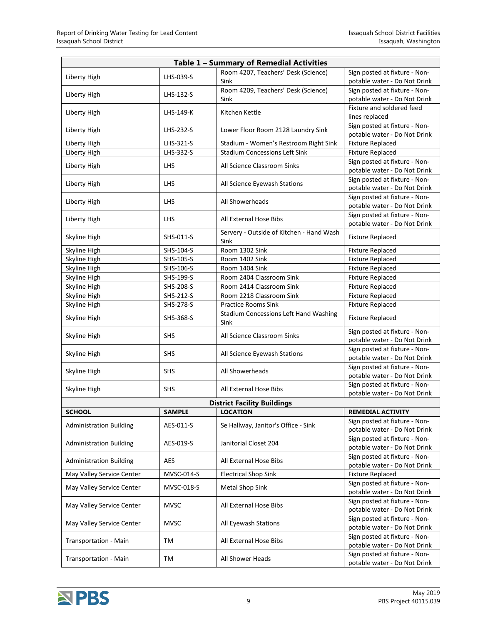| Table 1 - Summary of Remedial Activities |               |                                                                            |                                                               |  |  |
|------------------------------------------|---------------|----------------------------------------------------------------------------|---------------------------------------------------------------|--|--|
| Liberty High                             | LHS-039-S     | Room 4207, Teachers' Desk (Science)                                        | Sign posted at fixture - Non-                                 |  |  |
|                                          |               | Sink                                                                       | potable water - Do Not Drink                                  |  |  |
| Liberty High                             | LHS-132-S     | Room 4209, Teachers' Desk (Science)                                        | Sign posted at fixture - Non-                                 |  |  |
|                                          |               | Sink                                                                       | potable water - Do Not Drink                                  |  |  |
| Liberty High                             | LHS-149-K     | Kitchen Kettle                                                             | Fixture and soldered feed<br>lines replaced                   |  |  |
|                                          |               |                                                                            | Sign posted at fixture - Non-                                 |  |  |
| Liberty High                             | LHS-232-S     | Lower Floor Room 2128 Laundry Sink                                         | potable water - Do Not Drink                                  |  |  |
| Liberty High                             | LHS-321-S     | Stadium - Women's Restroom Right Sink                                      | <b>Fixture Replaced</b>                                       |  |  |
| Liberty High                             | LHS-332-S     | <b>Stadium Concessions Left Sink</b>                                       | <b>Fixture Replaced</b>                                       |  |  |
| Liberty High                             | <b>LHS</b>    | All Science Classroom Sinks                                                | Sign posted at fixture - Non-                                 |  |  |
|                                          |               |                                                                            | potable water - Do Not Drink                                  |  |  |
| Liberty High                             | <b>LHS</b>    | All Science Eyewash Stations                                               | Sign posted at fixture - Non-                                 |  |  |
|                                          |               |                                                                            | potable water - Do Not Drink<br>Sign posted at fixture - Non- |  |  |
| Liberty High                             | <b>LHS</b>    | All Showerheads                                                            | potable water - Do Not Drink                                  |  |  |
|                                          |               |                                                                            | Sign posted at fixture - Non-                                 |  |  |
| Liberty High                             | <b>LHS</b>    | All External Hose Bibs                                                     | potable water - Do Not Drink                                  |  |  |
|                                          | SHS-011-S     | Servery - Outside of Kitchen - Hand Wash                                   |                                                               |  |  |
| Skyline High                             |               | Sink                                                                       | <b>Fixture Replaced</b>                                       |  |  |
| Skyline High                             | SHS-104-S     | Room 1302 Sink                                                             | <b>Fixture Replaced</b>                                       |  |  |
| Skyline High                             | SHS-105-S     | Room 1402 Sink                                                             | <b>Fixture Replaced</b>                                       |  |  |
| Skyline High                             | SHS-106-S     | Room 1404 Sink                                                             | <b>Fixture Replaced</b>                                       |  |  |
| Skyline High                             | SHS-199-S     | Room 2404 Classroom Sink                                                   | <b>Fixture Replaced</b>                                       |  |  |
| Skyline High                             | SHS-208-S     | Room 2414 Classroom Sink                                                   | <b>Fixture Replaced</b>                                       |  |  |
| Skyline High                             | SHS-212-S     | Room 2218 Classroom Sink                                                   | <b>Fixture Replaced</b>                                       |  |  |
| Skyline High                             | SHS-278-S     | <b>Practice Rooms Sink</b><br><b>Stadium Concessions Left Hand Washing</b> | <b>Fixture Replaced</b>                                       |  |  |
| Skyline High                             | SHS-368-S     | Sink                                                                       | <b>Fixture Replaced</b>                                       |  |  |
|                                          |               |                                                                            | Sign posted at fixture - Non-                                 |  |  |
| Skyline High                             | <b>SHS</b>    | All Science Classroom Sinks                                                | potable water - Do Not Drink                                  |  |  |
| Skyline High                             | <b>SHS</b>    | All Science Eyewash Stations                                               | Sign posted at fixture - Non-                                 |  |  |
|                                          |               |                                                                            | potable water - Do Not Drink                                  |  |  |
| Skyline High                             | <b>SHS</b>    | All Showerheads                                                            | Sign posted at fixture - Non-                                 |  |  |
|                                          |               |                                                                            | potable water - Do Not Drink<br>Sign posted at fixture - Non- |  |  |
| Skyline High                             | <b>SHS</b>    | All External Hose Bibs                                                     | potable water - Do Not Drink                                  |  |  |
|                                          |               | <b>District Facility Buildings</b>                                         |                                                               |  |  |
| <b>SCHOOL</b>                            | <b>SAMPLE</b> | <b>LOCATION</b>                                                            | <b>REMEDIAL ACTIVITY</b>                                      |  |  |
|                                          | AES-011-S     |                                                                            | Sign posted at fixture - Non-                                 |  |  |
| <b>Administration Building</b>           |               | Se Hallway, Janitor's Office - Sink                                        | potable water - Do Not Drink                                  |  |  |
| <b>Administration Building</b>           | AES-019-S     | Janitorial Closet 204                                                      | Sign posted at fixture - Non-                                 |  |  |
|                                          |               |                                                                            | potable water - Do Not Drink                                  |  |  |
| <b>Administration Building</b>           | AES           | All External Hose Bibs                                                     | Sign posted at fixture - Non-                                 |  |  |
|                                          | MVSC-014-S    | <b>Electrical Shop Sink</b>                                                | potable water - Do Not Drink<br><b>Fixture Replaced</b>       |  |  |
| May Valley Service Center                |               |                                                                            | Sign posted at fixture - Non-                                 |  |  |
| May Valley Service Center                | MVSC-018-S    | <b>Metal Shop Sink</b>                                                     | potable water - Do Not Drink                                  |  |  |
|                                          |               |                                                                            | Sign posted at fixture - Non-                                 |  |  |
| May Valley Service Center                | <b>MVSC</b>   | All External Hose Bibs                                                     | potable water - Do Not Drink                                  |  |  |
| May Valley Service Center                | <b>MVSC</b>   | All Eyewash Stations                                                       | Sign posted at fixture - Non-                                 |  |  |
|                                          |               |                                                                            | potable water - Do Not Drink                                  |  |  |
| Transportation - Main                    | ТM            | All External Hose Bibs                                                     | Sign posted at fixture - Non-                                 |  |  |
|                                          |               |                                                                            | potable water - Do Not Drink<br>Sign posted at fixture - Non- |  |  |
| Transportation - Main                    | TM            | All Shower Heads                                                           | potable water - Do Not Drink                                  |  |  |

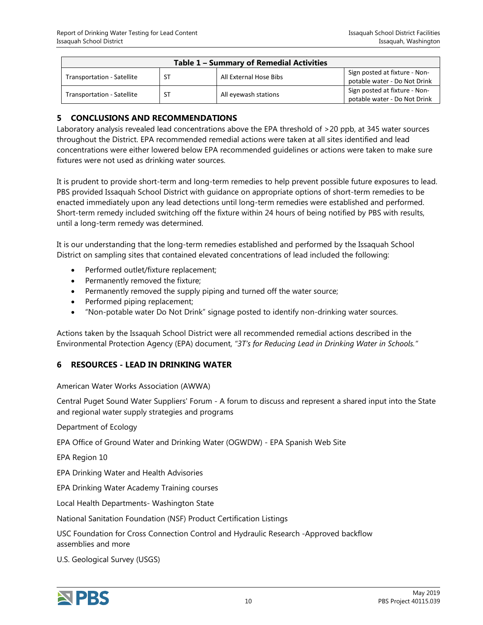| <b>Table 1 - Summary of Remedial Activities</b> |           |                        |                                                               |
|-------------------------------------------------|-----------|------------------------|---------------------------------------------------------------|
| Transportation - Satellite                      | <b>ST</b> | All External Hose Bibs | Sign posted at fixture - Non-<br>potable water - Do Not Drink |
| Transportation - Satellite                      | <b>ST</b> | All eyewash stations   | Sign posted at fixture - Non-<br>potable water - Do Not Drink |

#### <span id="page-11-0"></span>**5 CONCLUSIONS AND RECOMMENDATIONS**

Laboratory analysis revealed lead concentrations above the EPA threshold of >20 ppb, at 345 water sources throughout the District. EPA recommended remedial actions were taken at all sites identified and lead concentrations were either lowered below EPA recommended guidelines or actions were taken to make sure fixtures were not used as drinking water sources.

It is prudent to provide short-term and long-term remedies to help prevent possible future exposures to lead. PBS provided Issaquah School District with guidance on appropriate options of short-term remedies to be enacted immediately upon any lead detections until long-term remedies were established and performed. Short-term remedy included switching off the fixture within 24 hours of being notified by PBS with results, until a long-term remedy was determined.

It is our understanding that the long-term remedies established and performed by the Issaquah School District on sampling sites that contained elevated concentrations of lead included the following:

- Performed outlet/fixture replacement;
- Permanently removed the fixture;
- Permanently removed the supply piping and turned off the water source;
- Performed piping replacement;
- "Non-potable water Do Not Drink" signage posted to identify non-drinking water sources.

Actions taken by the Issaquah School District were all recommended remedial actions described in the Environmental Protection Agency (EPA) document, *"3T's for Reducing Lead in Drinking Water in Schools."*

#### <span id="page-11-1"></span>**6 RESOURCES - LEAD IN DRINKING WATER**

#### American Water Works Association (AWWA)

Central Puget Sound Water Suppliers' Forum - A forum to discuss and represent a shared input into the State and regional water supply strategies and programs

Department of Ecology

EPA Office of Ground Water and Drinking Water (OGWDW) - EPA Spanish Web Site

EPA Region 10

EPA Drinking Water and Health Advisories

EPA Drinking Water Academy Training courses

Local Health Departments- Washington State

National Sanitation Foundation (NSF) Product Certification Listings

USC Foundation for Cross Connection Control and Hydraulic Research -Approved backflow assemblies and more

U.S. Geological Survey (USGS)

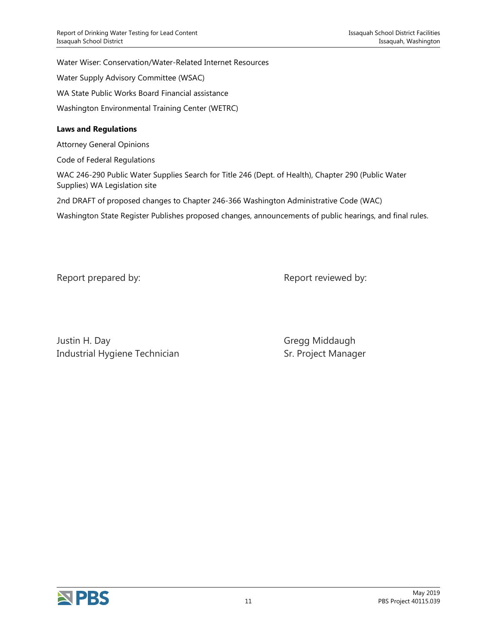Water Wiser: Conservation/Water-Related Internet Resources

Water Supply Advisory Committee (WSAC)

WA State Public Works Board Financial assistance

Washington Environmental Training Center (WETRC)

#### **Laws and Regulations**

Attorney General Opinions

Code of Federal Regulations

WAC 246-290 Public Water Supplies Search for Title 246 (Dept. of Health), Chapter 290 (Public Water Supplies) WA Legislation site

2nd DRAFT of proposed changes to Chapter 246-366 Washington Administrative Code (WAC)

Washington State Register Publishes proposed changes, announcements of public hearings, and final rules.

Report prepared by: Report reviewed by:

Justin H. Day **Gregg Middaugh** Industrial Hygiene Technician Sr. Project Manager

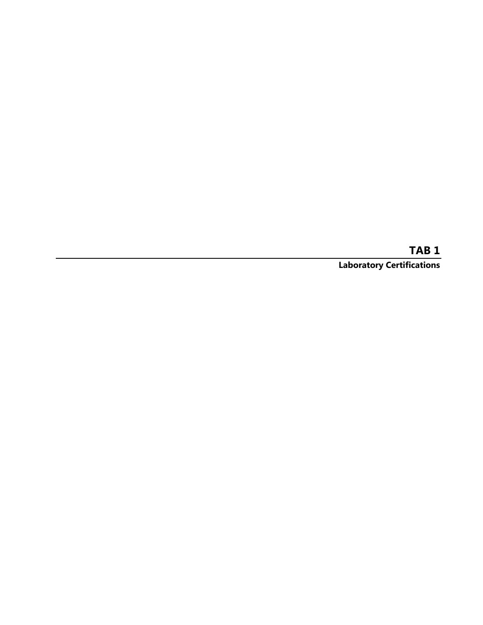**TAB 1 Laboratory Certifications**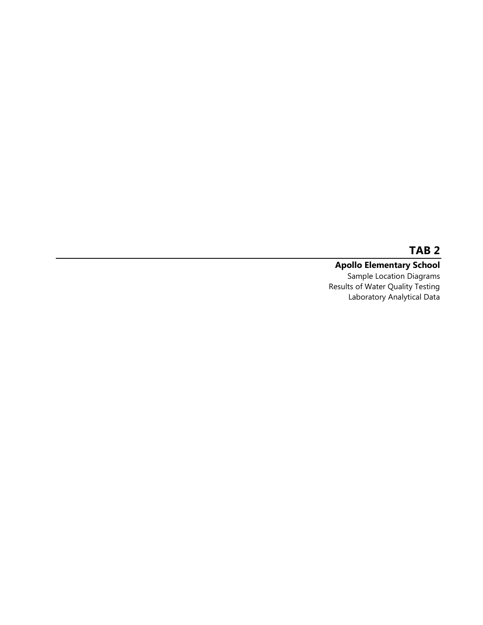#### **Apollo Elementary School** Sample Location Diagrams Results of Water Quality Testing Laboratory Analytical Data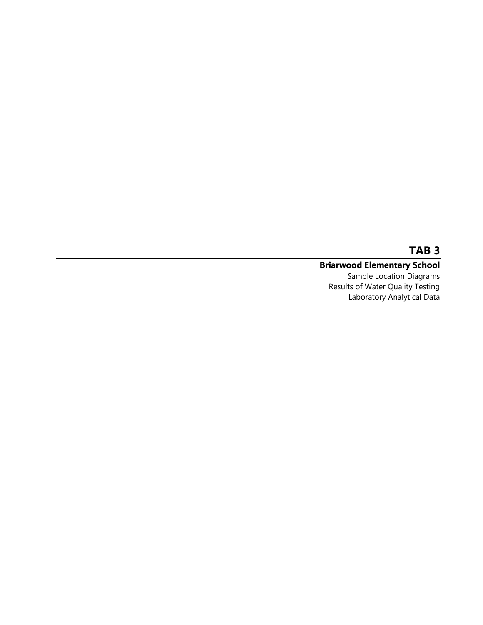#### **Briarwood Elementary School** Sample Location Diagrams

Results of Water Quality Testing Laboratory Analytical Data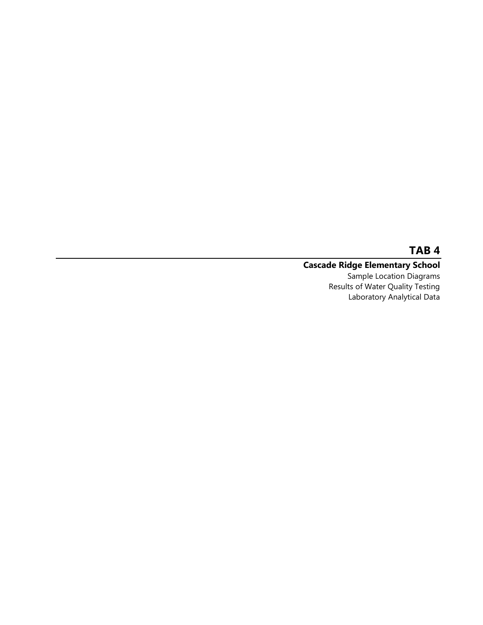### **Cascade Ridge Elementary School**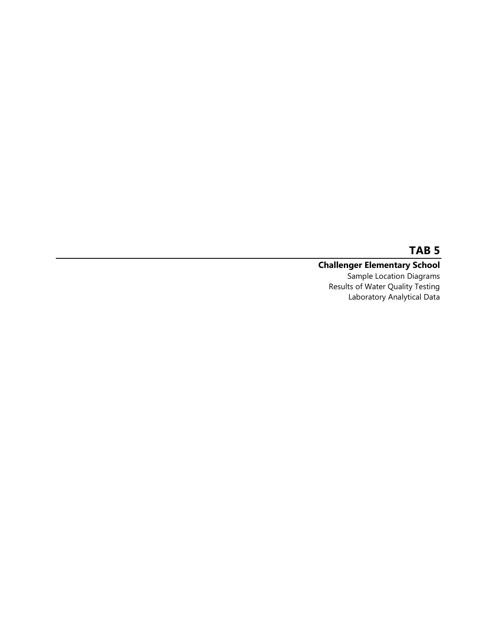#### **Challenger Elementary School** Sample Location Diagrams

Results of Water Quality Testing Laboratory Analytical Data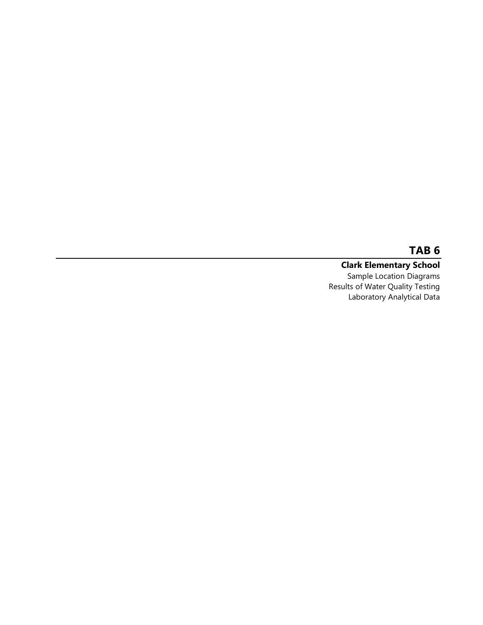**Clark Elementary School** Sample Location Diagrams Results of Water Quality Testing Laboratory Analytical Data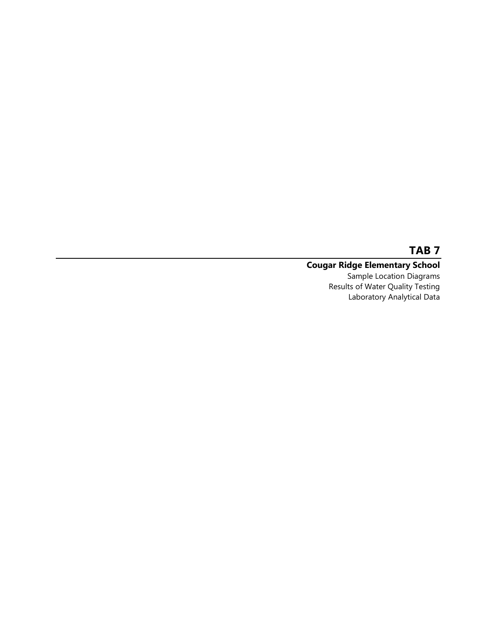#### **Cougar Ridge Elementary School** Sample Location Diagrams

Results of Water Quality Testing Laboratory Analytical Data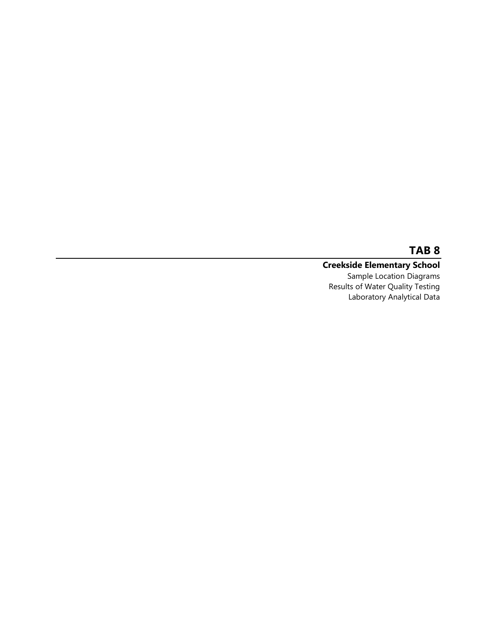#### **Creekside Elementary School** Sample Location Diagrams Results of Water Quality Testing Laboratory Analytical Data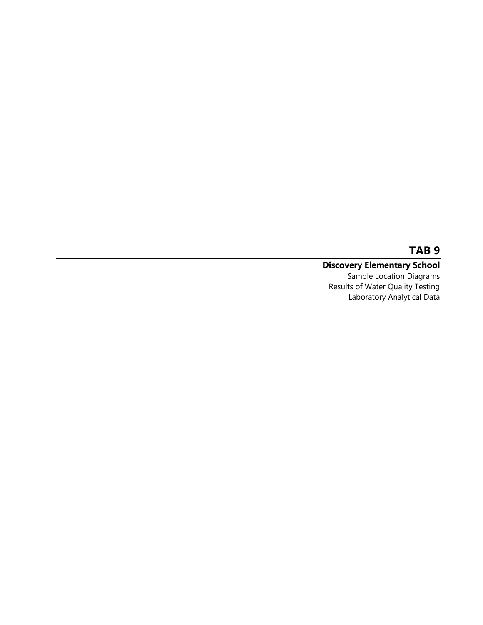#### **Discovery Elementary School** Sample Location Diagrams Results of Water Quality Testing Laboratory Analytical Data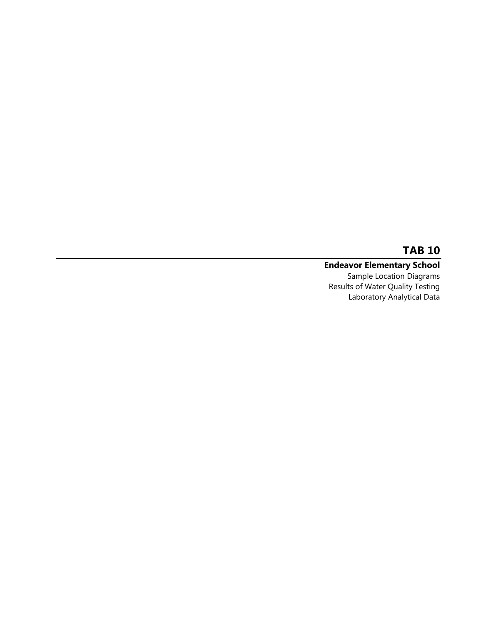#### **Endeavor Elementary School** Sample Location Diagrams

Results of Water Quality Testing Laboratory Analytical Data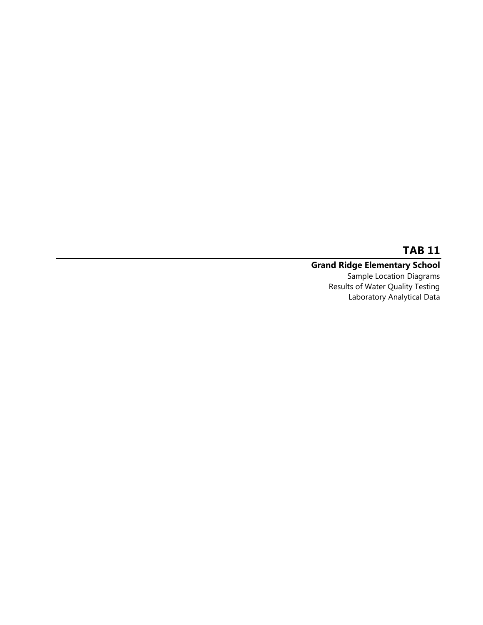#### **Grand Ridge Elementary School**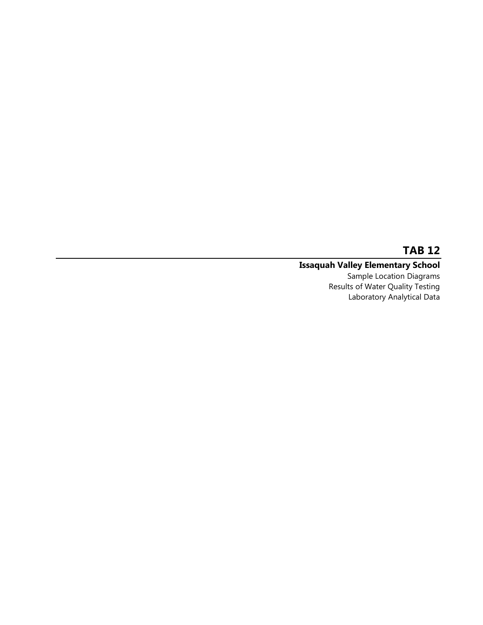#### **Issaquah Valley Elementary School**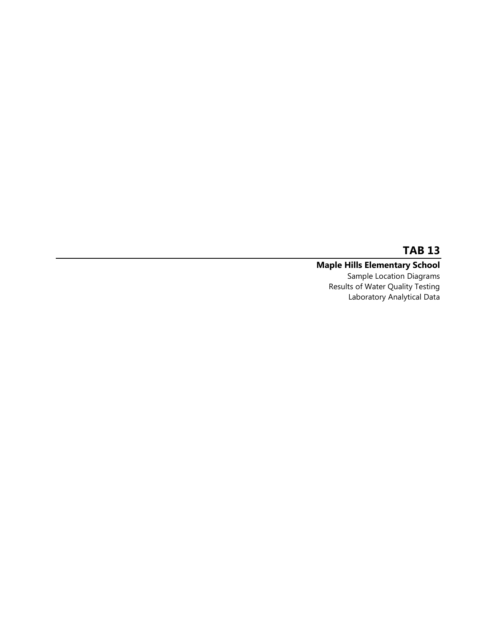#### **Maple Hills Elementary School** Sample Location Diagrams

Results of Water Quality Testing Laboratory Analytical Data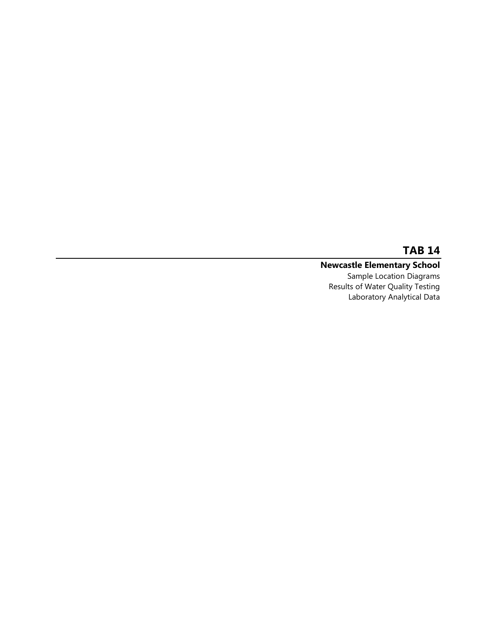# **Newcastle Elementary School**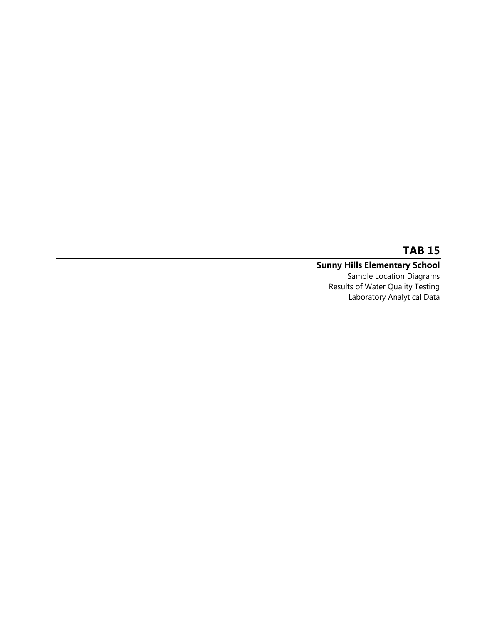#### **Sunny Hills Elementary School** Sample Location Diagrams

Results of Water Quality Testing Laboratory Analytical Data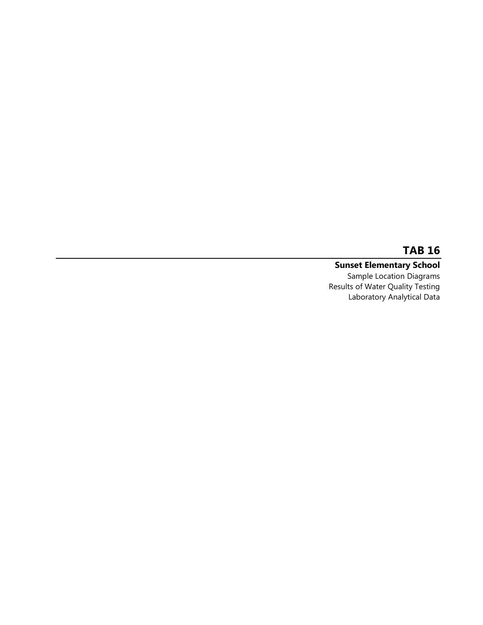#### **Sunset Elementary School** Sample Location Diagrams Results of Water Quality Testing Laboratory Analytical Data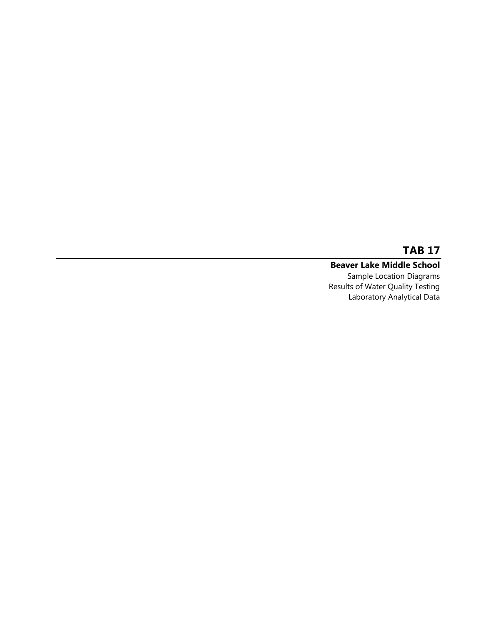#### **Beaver Lake Middle School** Sample Location Diagrams Results of Water Quality Testing Laboratory Analytical Data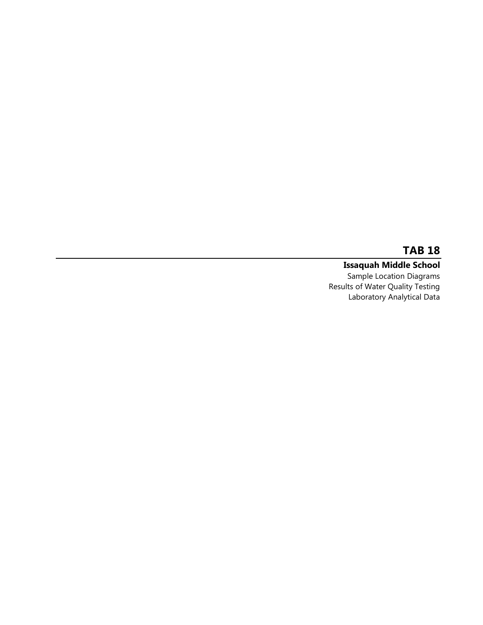# **Issaquah Middle School**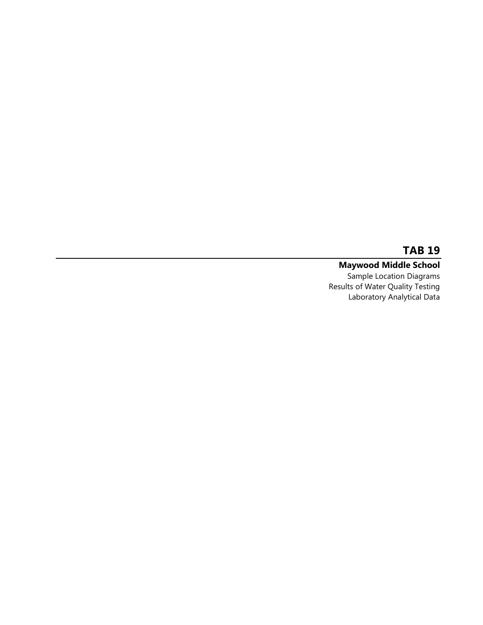#### **Maywood Middle School**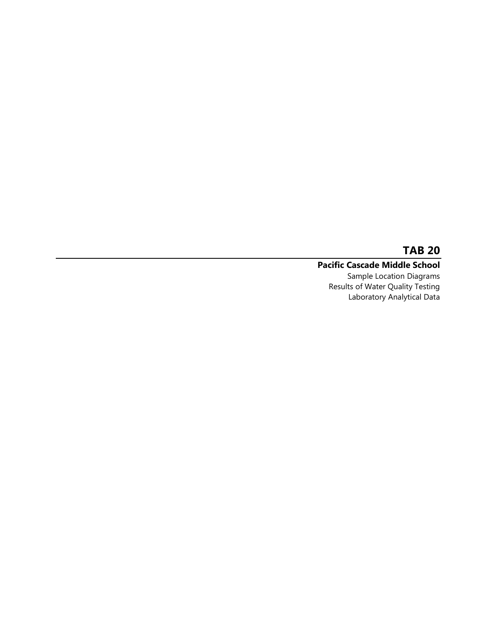## **Pacific Cascade Middle School**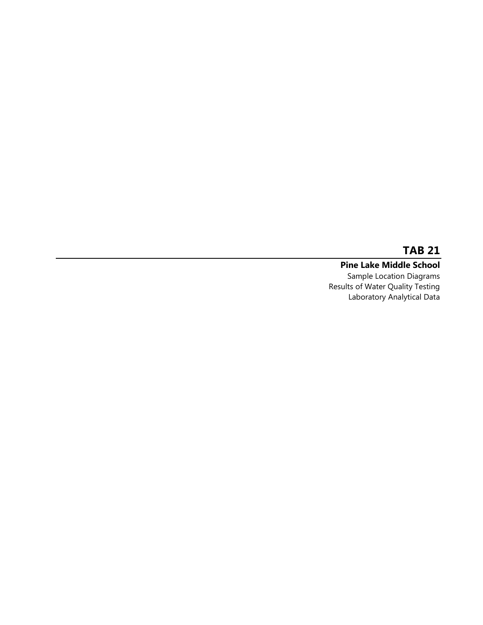**Pine Lake Middle School** Sample Location Diagrams Results of Water Quality Testing Laboratory Analytical Data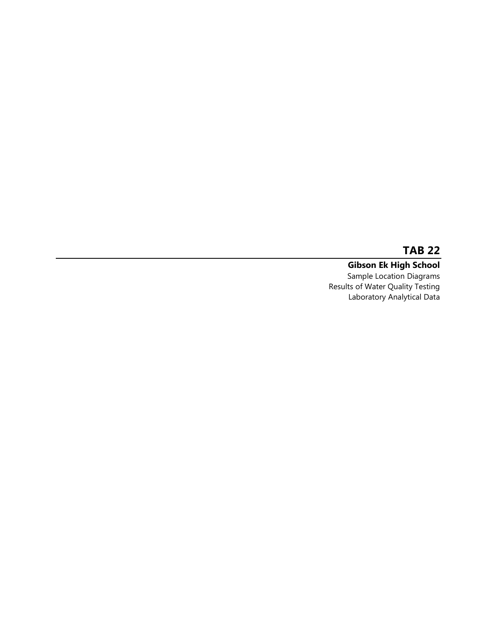**Gibson Ek High School** Sample Location Diagrams Results of Water Quality Testing Laboratory Analytical Data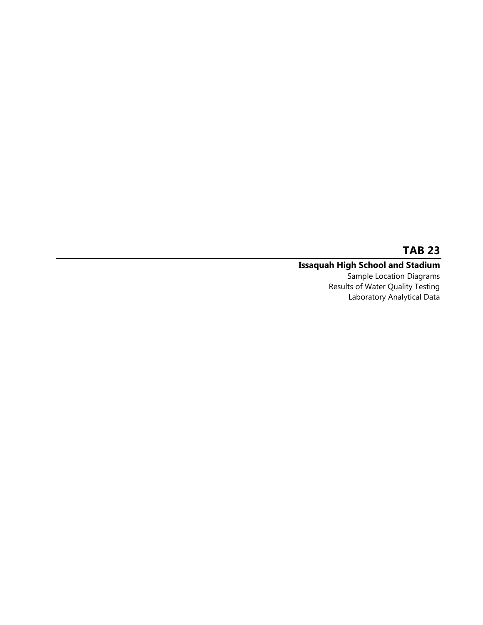#### **Issaquah High School and Stadium**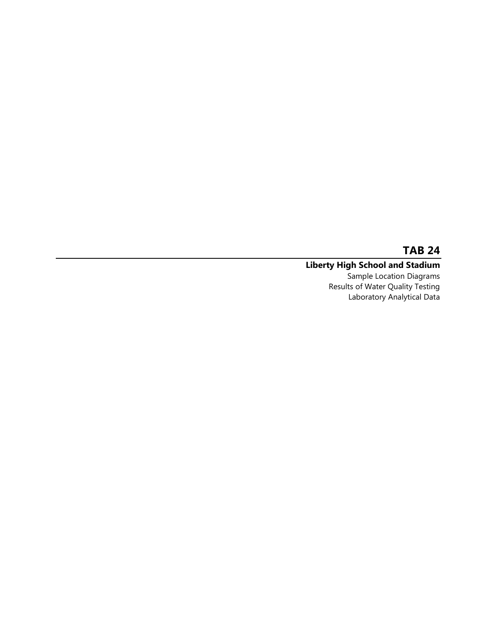#### **Liberty High School and Stadium**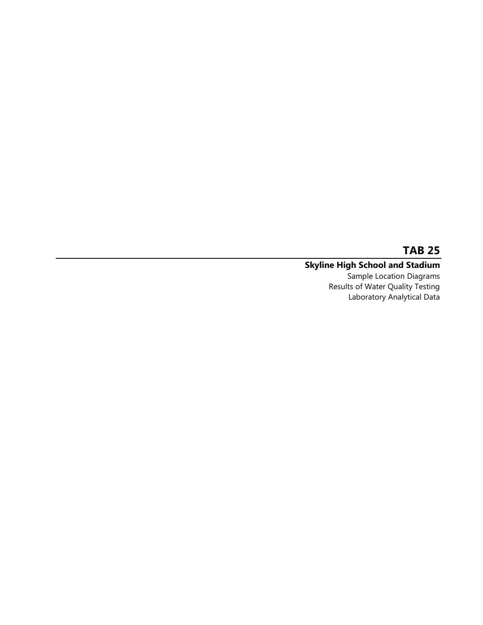#### **Skyline High School and Stadium**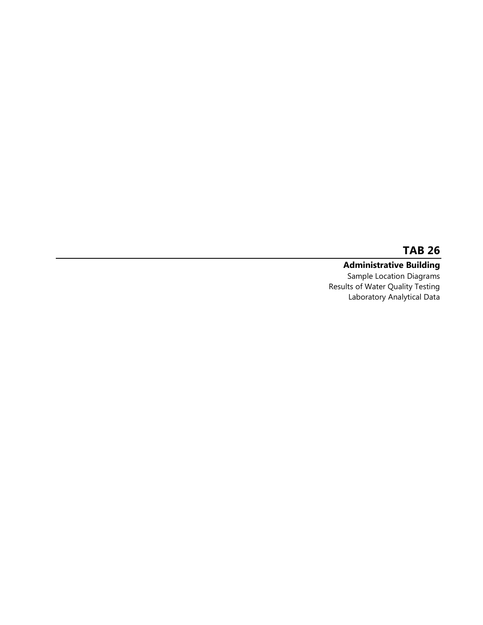# **Administrative Building**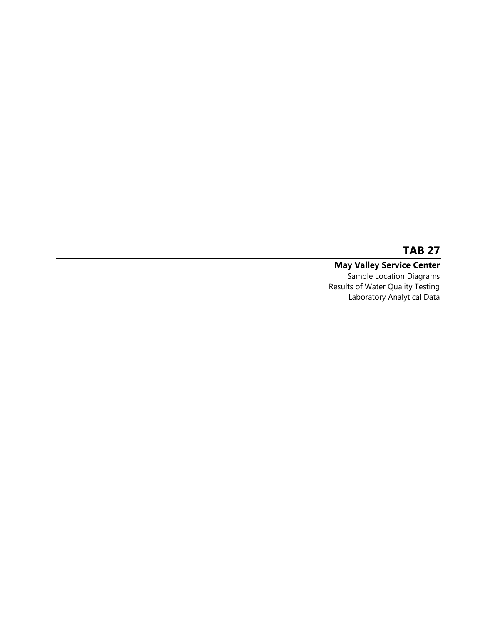#### **May Valley Service Center** Sample Location Diagrams Results of Water Quality Testing Laboratory Analytical Data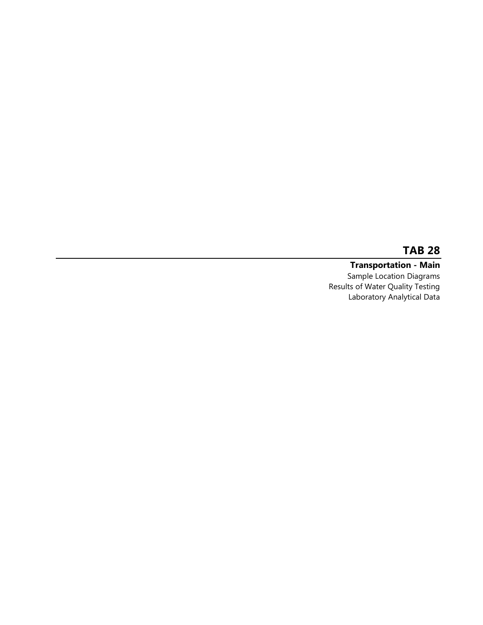**Transportation - Main** Sample Location Diagrams Results of Water Quality Testing Laboratory Analytical Data